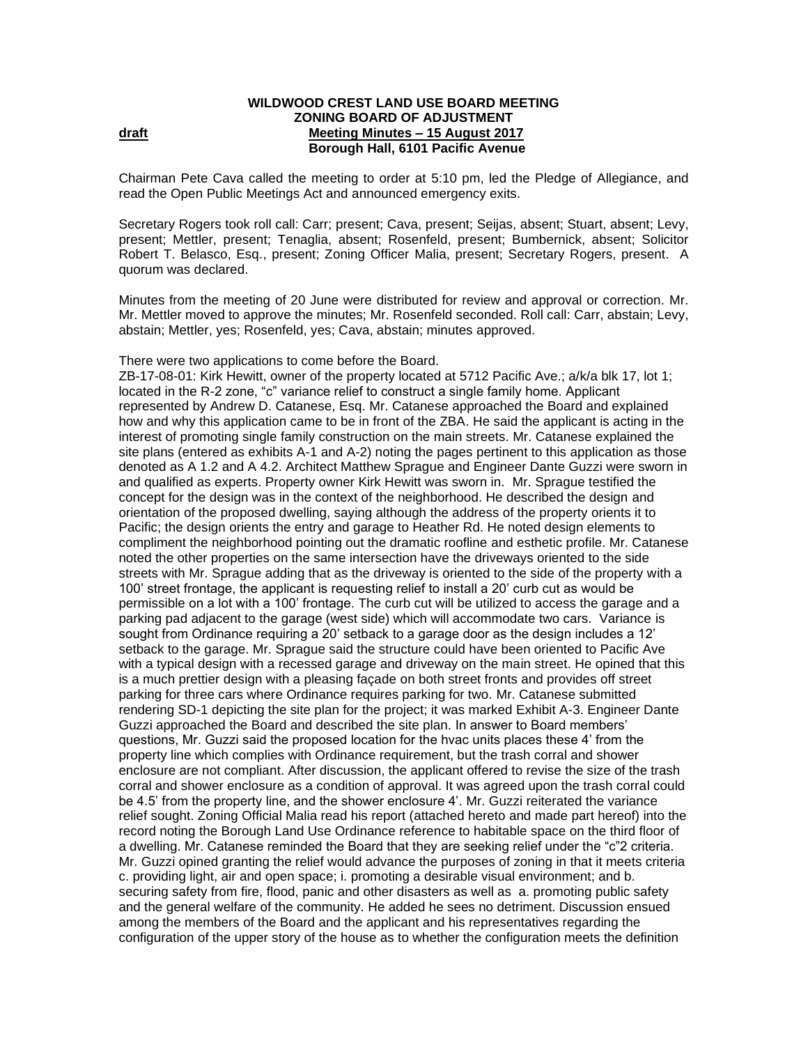## **WILDWOOD CREST LAND USE BOARD MEETING ZONING BOARD OF ADJUSTMENT draft draft Meeting Minutes – 15 August** 2017 **Borough Hall, 6101 Pacific Avenue**

Chairman Pete Cava called the meeting to order at 5:10 pm, led the Pledge of Allegiance, and read the Open Public Meetings Act and announced emergency exits.

Secretary Rogers took roll call: Carr; present; Cava, present; Seijas, absent; Stuart, absent; Levy, present; Mettler, present; Tenaglia, absent; Rosenfeld, present; Bumbernick, absent; Solicitor Robert T. Belasco, Esq., present; Zoning Officer Malia, present; Secretary Rogers, present.A quorum was declared.

Minutes from the meeting of 20 June were distributed for review and approval or correction. Mr. Mr. Mettler moved to approve the minutes; Mr. Rosenfeld seconded. Roll call: Carr, abstain; Levy, abstain; Mettler, yes; Rosenfeld, yes; Cava, abstain; minutes approved.

There were two applications to come before the Board.

ZB-17-08-01: Kirk Hewitt, owner of the property located at 5712 Pacific Ave.; a/k/a blk 17, lot 1; located in the R-2 zone, "c" variance relief to construct a single family home. Applicant represented by Andrew D. Catanese, Esq. Mr. Catanese approached the Board and explained how and why this application came to be in front of the ZBA. He said the applicant is acting in the interest of promoting single family construction on the main streets. Mr. Catanese explained the site plans (entered as exhibits A-1 and A-2) noting the pages pertinent to this application as those denoted as A 1.2 and A 4.2. Architect Matthew Sprague and Engineer Dante Guzzi were sworn in and qualified as experts. Property owner Kirk Hewitt was sworn in. Mr. Sprague testified the concept for the design was in the context of the neighborhood. He described the design and orientation of the proposed dwelling, saying although the address of the property orients it to Pacific; the design orients the entry and garage to Heather Rd. He noted design elements to compliment the neighborhood pointing out the dramatic roofline and esthetic profile. Mr. Catanese noted the other properties on the same intersection have the driveways oriented to the side streets with Mr. Sprague adding that as the driveway is oriented to the side of the property with a 100' street frontage, the applicant is requesting relief to install a 20' curb cut as would be permissible on a lot with a 100' frontage. The curb cut will be utilized to access the garage and a parking pad adjacent to the garage (west side) which will accommodate two cars. Variance is sought from Ordinance requiring a 20' setback to a garage door as the design includes a 12' setback to the garage. Mr. Sprague said the structure could have been oriented to Pacific Ave with a typical design with a recessed garage and driveway on the main street. He opined that this is a much prettier design with a pleasing façade on both street fronts and provides off street parking for three cars where Ordinance requires parking for two. Mr. Catanese submitted rendering SD-1 depicting the site plan for the project; it was marked Exhibit A-3. Engineer Dante Guzzi approached the Board and described the site plan. In answer to Board members' questions, Mr. Guzzi said the proposed location for the hvac units places these 4' from the property line which complies with Ordinance requirement, but the trash corral and shower enclosure are not compliant. After discussion, the applicant offered to revise the size of the trash corral and shower enclosure as a condition of approval. It was agreed upon the trash corral could be 4.5' from the property line, and the shower enclosure 4'. Mr. Guzzi reiterated the variance relief sought. Zoning Official Malia read his report (attached hereto and made part hereof) into the record noting the Borough Land Use Ordinance reference to habitable space on the third floor of a dwelling. Mr. Catanese reminded the Board that they are seeking relief under the "c"2 criteria. Mr. Guzzi opined granting the relief would advance the purposes of zoning in that it meets criteria c. providing light, air and open space; i. promoting a desirable visual environment; and b. securing safety from fire, flood, panic and other disasters as well as a. promoting public safety and the general welfare of the community. He added he sees no detriment. Discussion ensued among the members of the Board and the applicant and his representatives regarding the configuration of the upper story of the house as to whether the configuration meets the definition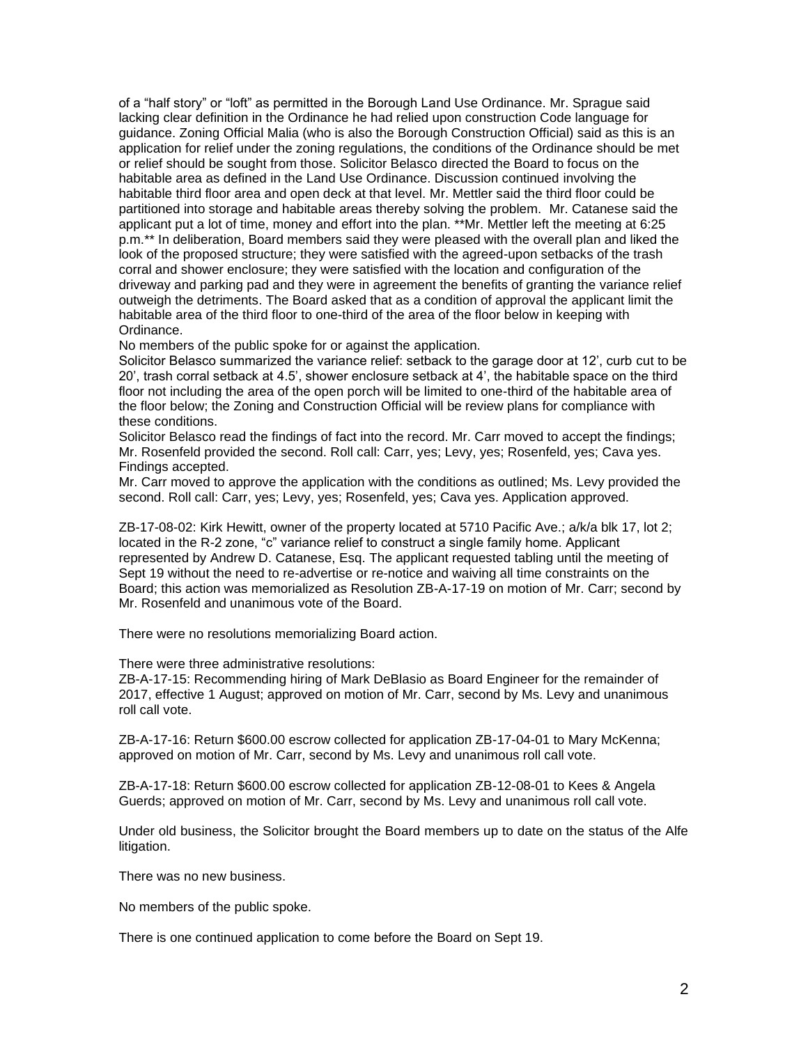of a "half story" or "loft" as permitted in the Borough Land Use Ordinance. Mr. Sprague said lacking clear definition in the Ordinance he had relied upon construction Code language for guidance. Zoning Official Malia (who is also the Borough Construction Official) said as this is an application for relief under the zoning regulations, the conditions of the Ordinance should be met or relief should be sought from those. Solicitor Belasco directed the Board to focus on the habitable area as defined in the Land Use Ordinance. Discussion continued involving the habitable third floor area and open deck at that level. Mr. Mettler said the third floor could be partitioned into storage and habitable areas thereby solving the problem. Mr. Catanese said the applicant put a lot of time, money and effort into the plan. \*\*Mr. Mettler left the meeting at 6:25 p.m.\*\* In deliberation, Board members said they were pleased with the overall plan and liked the look of the proposed structure; they were satisfied with the agreed-upon setbacks of the trash corral and shower enclosure; they were satisfied with the location and configuration of the driveway and parking pad and they were in agreement the benefits of granting the variance relief outweigh the detriments. The Board asked that as a condition of approval the applicant limit the habitable area of the third floor to one-third of the area of the floor below in keeping with Ordinance.

No members of the public spoke for or against the application.

Solicitor Belasco summarized the variance relief: setback to the garage door at 12', curb cut to be 20', trash corral setback at 4.5', shower enclosure setback at 4', the habitable space on the third floor not including the area of the open porch will be limited to one-third of the habitable area of the floor below; the Zoning and Construction Official will be review plans for compliance with these conditions.

Solicitor Belasco read the findings of fact into the record. Mr. Carr moved to accept the findings; Mr. Rosenfeld provided the second. Roll call: Carr, yes; Levy, yes; Rosenfeld, yes; Cava yes. Findings accepted.

Mr. Carr moved to approve the application with the conditions as outlined; Ms. Levy provided the second. Roll call: Carr, yes; Levy, yes; Rosenfeld, yes; Cava yes. Application approved.

ZB-17-08-02: Kirk Hewitt, owner of the property located at 5710 Pacific Ave.; a/k/a blk 17, lot 2; located in the R-2 zone, "c" variance relief to construct a single family home. Applicant represented by Andrew D. Catanese, Esq. The applicant requested tabling until the meeting of Sept 19 without the need to re-advertise or re-notice and waiving all time constraints on the Board; this action was memorialized as Resolution ZB-A-17-19 on motion of Mr. Carr; second by Mr. Rosenfeld and unanimous vote of the Board.

There were no resolutions memorializing Board action.

There were three administrative resolutions:

ZB-A-17-15: Recommending hiring of Mark DeBlasio as Board Engineer for the remainder of 2017, effective 1 August; approved on motion of Mr. Carr, second by Ms. Levy and unanimous roll call vote.

ZB-A-17-16: Return \$600.00 escrow collected for application ZB-17-04-01 to Mary McKenna; approved on motion of Mr. Carr, second by Ms. Levy and unanimous roll call vote.

ZB-A-17-18: Return \$600.00 escrow collected for application ZB-12-08-01 to Kees & Angela Guerds; approved on motion of Mr. Carr, second by Ms. Levy and unanimous roll call vote.

Under old business, the Solicitor brought the Board members up to date on the status of the Alfe litigation.

There was no new business.

No members of the public spoke.

There is one continued application to come before the Board on Sept 19.